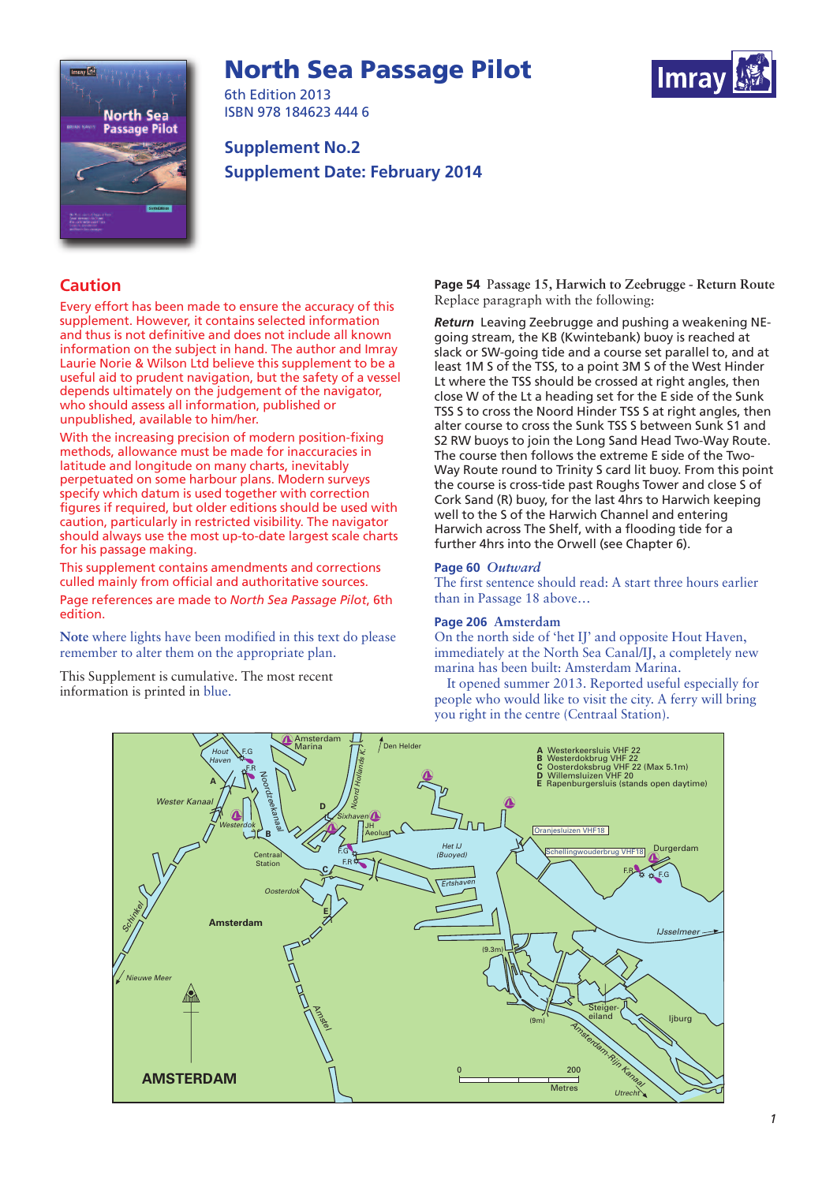# **North Sea Passage Pilot**





6th Edition 2013 ISBN 978 184623 444 6

**Supplement No.2 Supplement Date: February 2014**

# **Caution**

Every effort has been made to ensure the accuracy of this supplement. However, it contains selected information and thus is not definitive and does not include all known information on the subject in hand. The author and Imray Laurie Norie & Wilson Ltd believe this supplement to be a useful aid to prudent navigation, but the safety of a vessel depends ultimately on the judgement of the navigator, who should assess all information, published or unpublished, available to him/her.

With the increasing precision of modern position-fixing methods, allowance must be made for inaccuracies in latitude and longitude on many charts, inevitably perpetuated on some harbour plans. Modern surveys specify which datum is used together with correction figures if required, but older editions should be used with caution, particularly in restricted visibility. The navigator should always use the most up-to-date largest scale charts for his passage making.

This supplement contains amendments and corrections culled mainly from official and authoritative sources. Page references are made to *North Sea Passage Pilot*, 6th edition.

**Note** where lights have been modified in this text do please remember to alter them on the appropriate plan.

This Supplement is cumulative. The most recent information is printed in blue.

**Page 54** P**assage 15, Harwich to Zeebrugge - Return Route** Replace paragraph with the following:

*Return* Leaving Zeebrugge and pushing a weakening NEgoing stream, the KB (Kwintebank) buoy is reached at slack or SW-going tide and a course set parallel to, and at least 1M S of the TSS, to a point 3M S of the West Hinder Lt where the TSS should be crossed at right angles, then close W of the Lt a heading set for the E side of the Sunk TSS S to cross the Noord Hinder TSS S at right angles, then alter course to cross the Sunk TSS S between Sunk S1 and S2 RW buoys to join the Long Sand Head Two-Way Route. The course then follows the extreme E side of the Two-Way Route round to Trinity S card lit buoy. From this point the course is cross-tide past Roughs Tower and close S of Cork Sand (R) buoy, for the last 4hrs to Harwich keeping well to the S of the Harwich Channel and entering Harwich across The Shelf, with a flooding tide for a further 4hrs into the Orwell (see Chapter 6).

## **Page 60** *Outward*

The first sentence should read: A start three hours earlier than in Passage 18 above…

### **Page 206 Amsterdam**

On the north side of 'het IJ' and opposite Hout Haven, immediately at the North Sea Canal/IJ, a completely new marina has been built: Amsterdam Marina.

It opened summer 2013. Reported useful especially for people who would like to visit the city. A ferry will bring you right in the centre (Centraal Station).